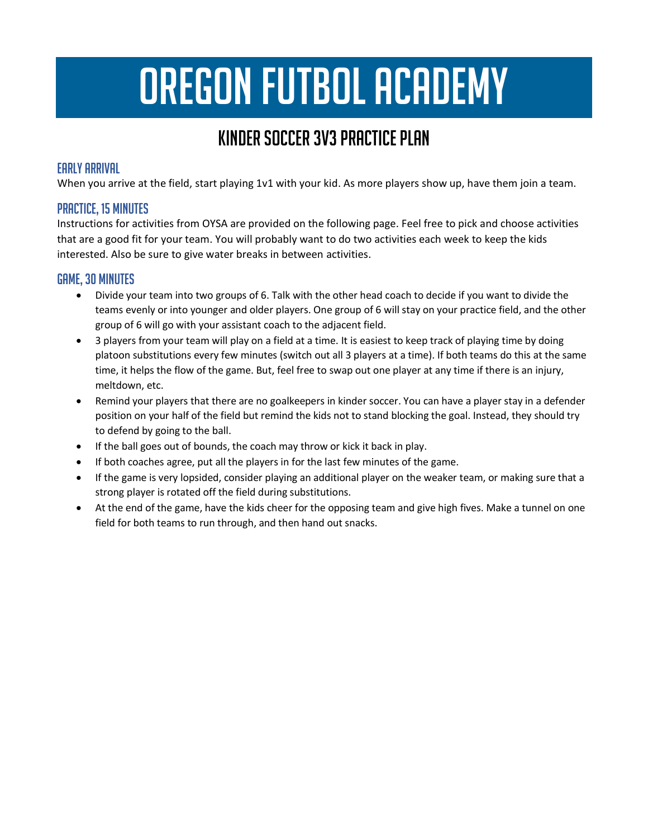# OREGON FUTBOL ACADEMY

## Kinder Soccer 3v3 Practice Plan

#### Early Arrival

When you arrive at the field, start playing 1v1 with your kid. As more players show up, have them join a team.

#### Practice, 15 minutes

Instructions for activities from OYSA are provided on the following page. Feel free to pick and choose activities that are a good fit for your team. You will probably want to do two activities each week to keep the kids interested. Also be sure to give water breaks in between activities.

#### Game, 30 minutes

- Divide your team into two groups of 6. Talk with the other head coach to decide if you want to divide the teams evenly or into younger and older players. One group of 6 will stay on your practice field, and the other group of 6 will go with your assistant coach to the adjacent field.
- 3 players from your team will play on a field at a time. It is easiest to keep track of playing time by doing platoon substitutions every few minutes (switch out all 3 players at a time). If both teams do this at the same time, it helps the flow of the game. But, feel free to swap out one player at any time if there is an injury, meltdown, etc.
- Remind your players that there are no goalkeepers in kinder soccer. You can have a player stay in a defender position on your half of the field but remind the kids not to stand blocking the goal. Instead, they should try to defend by going to the ball.
- If the ball goes out of bounds, the coach may throw or kick it back in play.
- If both coaches agree, put all the players in for the last few minutes of the game.
- If the game is very lopsided, consider playing an additional player on the weaker team, or making sure that a strong player is rotated off the field during substitutions.
- At the end of the game, have the kids cheer for the opposing team and give high fives. Make a tunnel on one field for both teams to run through, and then hand out snacks.